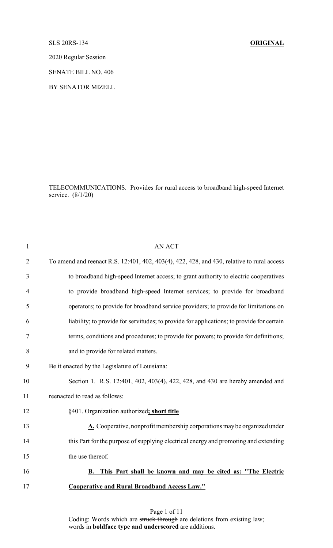SLS 20RS-134 **ORIGINAL**

2020 Regular Session

SENATE BILL NO. 406

BY SENATOR MIZELL

TELECOMMUNICATIONS. Provides for rural access to broadband high-speed Internet service. (8/1/20)

| 1              | <b>AN ACT</b>                                                                              |
|----------------|--------------------------------------------------------------------------------------------|
| $\overline{2}$ | To amend and reenact R.S. 12:401, 402, 403(4), 422, 428, and 430, relative to rural access |
| 3              | to broadband high-speed Internet access; to grant authority to electric cooperatives       |
| 4              | to provide broadband high-speed Internet services; to provide for broadband                |
| 5              | operators; to provide for broadband service providers; to provide for limitations on       |
| 6              | liability; to provide for servitudes; to provide for applications; to provide for certain  |
| 7              | terms, conditions and procedures; to provide for powers; to provide for definitions;       |
| 8              | and to provide for related matters.                                                        |
| 9              | Be it enacted by the Legislature of Louisiana:                                             |
| 10             | Section 1. R.S. 12:401, 402, 403(4), 422, 428, and 430 are hereby amended and              |
| 11             | reenacted to read as follows:                                                              |
| 12             | §401. Organization authorized; short title                                                 |
| 13             | A. Cooperative, nonprofit membership corporations may be organized under                   |
| 14             | this Part for the purpose of supplying electrical energy and promoting and extending       |
| 15             | the use thereof.                                                                           |
| 16             | This Part shall be known and may be cited as: "The Electric<br>В.                          |
| 17             | <b>Cooperative and Rural Broadband Access Law."</b>                                        |
|                |                                                                                            |

Page 1 of 11 Coding: Words which are struck through are deletions from existing law; words in **boldface type and underscored** are additions.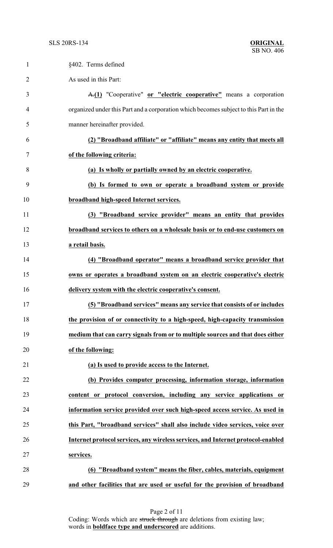| $\mathbf{1}$   | §402. Terms defined                                                                   |
|----------------|---------------------------------------------------------------------------------------|
| $\overline{2}$ | As used in this Part:                                                                 |
| 3              | A.(1) "Cooperative" or "electric cooperative" means a corporation                     |
| 4              | organized under this Part and a corporation which becomes subject to this Part in the |
| 5              | manner hereinafter provided.                                                          |
| 6              | (2) "Broadband affiliate" or "affiliate" means any entity that meets all              |
| 7              | of the following criteria:                                                            |
| 8              | (a) Is wholly or partially owned by an electric cooperative.                          |
| 9              | (b) Is formed to own or operate a broadband system or provide                         |
| 10             | broadband high-speed Internet services.                                               |
| 11             | (3) "Broadband service provider" means an entity that provides                        |
| 12             | broadband services to others on a wholesale basis or to end-use customers on          |
| 13             | a retail basis.                                                                       |
| 14             | (4) "Broadband operator" means a broadband service provider that                      |
| 15             | owns or operates a broadband system on an electric cooperative's electric             |
| 16             | delivery system with the electric cooperative's consent.                              |
| 17             | (5) "Broadband services" means any service that consists of or includes               |
| 18             | the provision of or connectivity to a high-speed, high-capacity transmission          |
| 19             | medium that can carry signals from or to multiple sources and that does either        |
| 20             | of the following:                                                                     |
| 21             | (a) Is used to provide access to the Internet.                                        |
| 22             | (b) Provides computer processing, information storage, information                    |
| 23             | content or protocol conversion, including any service applications or                 |
| 24             | information service provided over such high-speed access service. As used in          |
| 25             | this Part, "broadband services" shall also include video services, voice over         |
| 26             | Internet protocol services, any wireless services, and Internet protocol-enabled      |
| 27             | services.                                                                             |
| 28             | (6) "Broadband system" means the fiber, cables, materials, equipment                  |
| 29             | and other facilities that are used or useful for the provision of broadband           |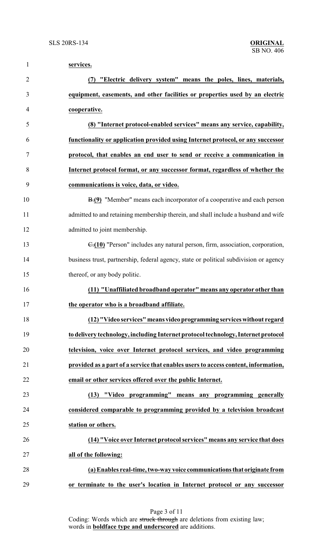| $\mathbf{1}$   | services.                                                                             |
|----------------|---------------------------------------------------------------------------------------|
| $\overline{2}$ | "Electric delivery system" means the poles, lines, materials,<br>(7)                  |
| 3              | equipment, easements, and other facilities or properties used by an electric          |
| 4              | cooperative.                                                                          |
| 5              | (8) "Internet protocol-enabled services" means any service, capability,               |
| 6              | functionality or application provided using Internet protocol, or any successor       |
| 7              | protocol, that enables an end user to send or receive a communication in              |
| 8              | Internet protocol format, or any successor format, regardless of whether the          |
| 9              | communications is voice, data, or video.                                              |
| 10             | <b>B.(9)</b> "Member" means each incorporator of a cooperative and each person        |
| 11             | admitted to and retaining membership therein, and shall include a husband and wife    |
| 12             | admitted to joint membership.                                                         |
| 13             | E.(10) "Person" includes any natural person, firm, association, corporation,          |
| 14             | business trust, partnership, federal agency, state or political subdivision or agency |
| 15             | thereof, or any body politic.                                                         |
| 16             | (11) "Unaffiliated broadband operator" means any operator other than                  |
| 17             | the operator who is a broadband affiliate.                                            |
| 18             | (12) "Video services" means video programming services without regard                 |
| 19             | to delivery technology, including Internet protocol technology, Internet protocol     |
| 20             | television, voice over Internet protocol services, and video programming              |
| 21             | provided as a part of a service that enables users to access content, information,    |
| 22             | email or other services offered over the public Internet.                             |
| 23             | (13) "Video programming" means any programming generally                              |
| 24             | considered comparable to programming provided by a television broadcast               |
| 25             | station or others.                                                                    |
| 26             | (14) "Voice over Internet protocol services" means any service that does              |
| 27             | all of the following:                                                                 |
| 28             | (a) Enables real-time, two-way voice communications that originate from               |
| 29             | or terminate to the user's location in Internet protocol or any successor             |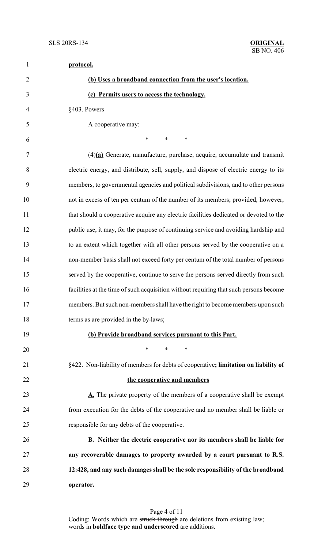| $\mathbf{1}$   | protocol.                                                                             |
|----------------|---------------------------------------------------------------------------------------|
| $\overline{2}$ | (b) Uses a broadband connection from the user's location.                             |
| 3              | (c) Permits users to access the technology.                                           |
| $\overline{4}$ | §403. Powers                                                                          |
| 5              | A cooperative may:                                                                    |
| 6              | ∗<br>$\ast$<br>∗                                                                      |
| 7              | $(4)(a)$ Generate, manufacture, purchase, acquire, accumulate and transmit            |
| 8              | electric energy, and distribute, sell, supply, and dispose of electric energy to its  |
| 9              | members, to governmental agencies and political subdivisions, and to other persons    |
| 10             | not in excess of ten per centum of the number of its members; provided, however,      |
| 11             | that should a cooperative acquire any electric facilities dedicated or devoted to the |
| 12             | public use, it may, for the purpose of continuing service and avoiding hardship and   |
| 13             | to an extent which together with all other persons served by the cooperative on a     |
| 14             | non-member basis shall not exceed forty per centum of the total number of persons     |
| 15             | served by the cooperative, continue to serve the persons served directly from such    |
| 16             | facilities at the time of such acquisition without requiring that such persons become |
| 17             | members. But such non-members shall have the right to become members upon such        |
| 18             | terms as are provided in the by-laws;                                                 |
| 19             | (b) Provide broadband services pursuant to this Part.                                 |
| 20             | ∗<br>*<br>∗                                                                           |
| 21             | §422. Non-liability of members for debts of cooperative; limitation on liability of   |
| 22             | the cooperative and members                                                           |
| 23             | A. The private property of the members of a cooperative shall be exempt               |
| 24             | from execution for the debts of the cooperative and no member shall be liable or      |
| 25             | responsible for any debts of the cooperative.                                         |
| 26             | B. Neither the electric cooperative nor its members shall be liable for               |
| 27             | any recoverable damages to property awarded by a court pursuant to R.S.               |
| 28             | 12:428, and any such damages shall be the sole responsibility of the broadband        |
| 29             | operator.                                                                             |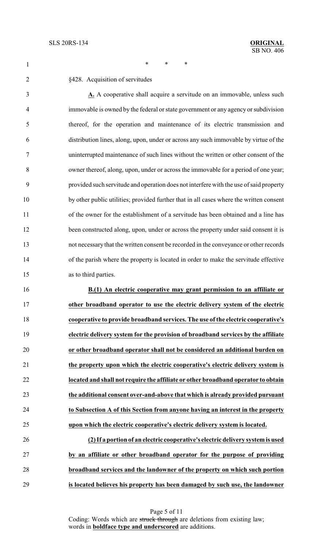§428. Acquisition of servitudes

1 \* \* \* \*

| $\overline{3}$ | A. A cooperative shall acquire a servitude on an immovable, unless such                 |
|----------------|-----------------------------------------------------------------------------------------|
| 4              | immovable is owned by the federal or state government or any agency or subdivision      |
| 5              | thereof, for the operation and maintenance of its electric transmission and             |
| 6              | distribution lines, along, upon, under or across any such immovable by virtue of the    |
| 7              | uninterrupted maintenance of such lines without the written or other consent of the     |
| 8              | owner thereof, along, upon, under or across the immovable for a period of one year;     |
| 9              | provided such servitude and operation does not interfere with the use of said property  |
| 10             | by other public utilities; provided further that in all cases where the written consent |
| 11             | of the owner for the establishment of a servitude has been obtained and a line has      |
| 12             | been constructed along, upon, under or across the property under said consent it is     |
| 13             | not necessary that the written consent be recorded in the conveyance or other records   |
| 14             | of the parish where the property is located in order to make the servitude effective    |
| 15             | as to third parties.                                                                    |
|                |                                                                                         |

 **B.(1) An electric cooperative may grant permission to an affiliate or other broadband operator to use the electric delivery system of the electric cooperative to provide broadband services. The use of the electric cooperative's electric delivery system for the provision of broadband services by the affiliate or other broadband operator shall not be considered an additional burden on the property upon which the electric cooperative's electric delivery system is located and shall not require the affiliate or other broadband operator to obtain the additional consent over-and-above that which is already provided pursuant to Subsection A of this Section from anyone having an interest in the property upon which the electric cooperative's electric delivery system is located.**

 **(2) If a portion of an electric cooperative's electric delivery system is used by an affiliate or other broadband operator for the purpose of providing broadband services and the landowner of the property on which such portion is located believes his property has been damaged by such use, the landowner**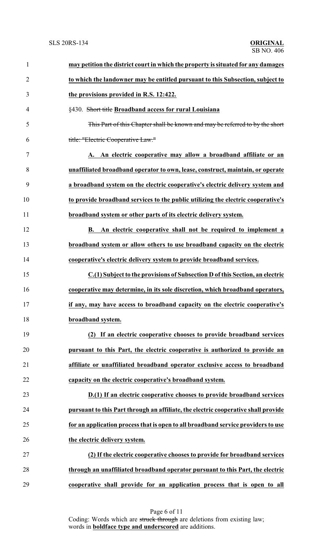| $\mathbf{1}$   | may petition the district court in which the property is situated for any damages  |
|----------------|------------------------------------------------------------------------------------|
| $\overline{2}$ | to which the landowner may be entitled pursuant to this Subsection, subject to     |
| 3              | the provisions provided in R.S. 12:422.                                            |
| 4              | §430. Short title Broadband access for rural Louisiana                             |
| 5              | This Part of this Chapter shall be known and may be referred to by the short       |
| 6              | title: "Electric Cooperative Law."                                                 |
| 7              | A. An electric cooperative may allow a broadband affiliate or an                   |
| 8              | unaffiliated broadband operator to own, lease, construct, maintain, or operate     |
| 9              | a broadband system on the electric cooperative's electric delivery system and      |
| 10             | to provide broadband services to the public utilizing the electric cooperative's   |
| 11             | broadband system or other parts of its electric delivery system.                   |
| 12             | B. An electric cooperative shall not be required to implement a                    |
| 13             | broadband system or allow others to use broadband capacity on the electric         |
| 14             | cooperative's electric delivery system to provide broadband services.              |
| 15             | C.(1) Subject to the provisions of Subsection D of this Section, an electric       |
| 16             | cooperative may determine, in its sole discretion, which broadband operators,      |
| 17             | if any, may have access to broadband capacity on the electric cooperative's        |
| 18             | broadband system.                                                                  |
| 19             | (2) If an electric cooperative chooses to provide broadband services               |
| 20             | pursuant to this Part, the electric cooperative is authorized to provide an        |
| 21             | affiliate or unaffiliated broadband operator exclusive access to broadband         |
| 22             | capacity on the electric cooperative's broadband system.                           |
| 23             | D.(1) If an electric cooperative chooses to provide broadband services             |
| 24             | pursuant to this Part through an affiliate, the electric cooperative shall provide |
| 25             | for an application process that is open to all broadband service providers to use  |
| 26             | the electric delivery system.                                                      |
| 27             | (2) If the electric cooperative chooses to provide for broadband services          |
| 28             | through an unaffiliated broadband operator pursuant to this Part, the electric     |
| 29             | cooperative shall provide for an application process that is open to all           |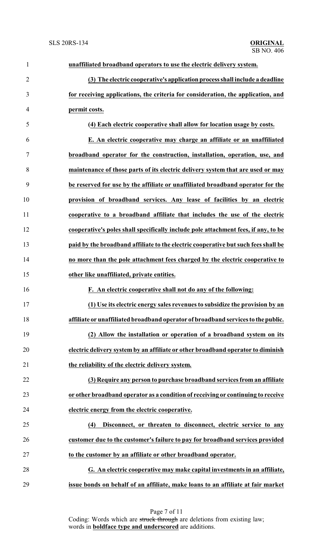| $\mathbf{1}$   | unaffiliated broadband operators to use the electric delivery system.              |
|----------------|------------------------------------------------------------------------------------|
| $\overline{2}$ | (3) The electric cooperative's application process shall include a deadline        |
| 3              | for receiving applications, the criteria for consideration, the application, and   |
| $\overline{4}$ | permit costs.                                                                      |
| 5              | (4) Each electric cooperative shall allow for location usage by costs.             |
| 6              | E. An electric cooperative may charge an affiliate or an unaffiliated              |
| $\tau$         | broadband operator for the construction, installation, operation, use, and         |
| 8              | maintenance of those parts of its electric delivery system that are used or may    |
| 9              | be reserved for use by the affiliate or unaffiliated broadband operator for the    |
| 10             | provision of broadband services. Any lease of facilities by an electric            |
| 11             | cooperative to a broadband affiliate that includes the use of the electric         |
| 12             | cooperative's poles shall specifically include pole attachment fees, if any, to be |
| 13             | paid by the broadband affiliate to the electric cooperative but such fees shall be |
| 14             | no more than the pole attachment fees charged by the electric cooperative to       |
| 15             | other like unaffiliated, private entities.                                         |
| 16             | F. An electric cooperative shall not do any of the following:                      |
| 17             | (1) Use its electric energy sales revenues to subsidize the provision by an        |
| 18             | affiliate or unaffiliated broadband operator of broadband services to the public.  |
| 19             | (2) Allow the installation or operation of a broadband system on its               |
| 20             | electric delivery system by an affiliate or other broadband operator to diminish   |
| 21             | the reliability of the electric delivery system.                                   |
| 22             | (3) Require any person to purchase broadband services from an affiliate            |
| 23             | or other broadband operator as a condition of receiving or continuing to receive   |
| 24             | electric energy from the electric cooperative.                                     |
| 25             | Disconnect, or threaten to disconnect, electric service to any<br>(4)              |
| 26             | customer due to the customer's failure to pay for broadband services provided      |
| 27             | to the customer by an affiliate or other broadband operator.                       |
| 28             | G. An electric cooperative may make capital investments in an affiliate,           |
| 29             | issue bonds on behalf of an affiliate, make loans to an affiliate at fair market   |

Page 7 of 11 Coding: Words which are struck through are deletions from existing law; words in **boldface type and underscored** are additions.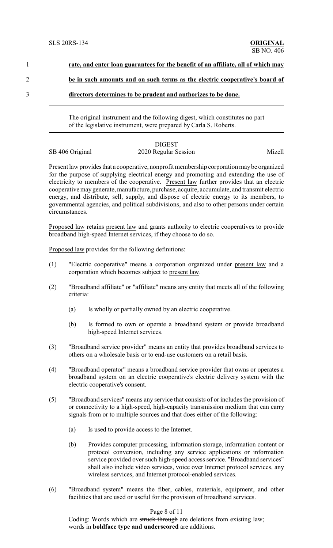| rate, and enter loan guarantees for the benefit of an affiliate, all of which may |
|-----------------------------------------------------------------------------------|
| be in such amounts and on such terms as the electric cooperative's board of       |
| directors determines to be prudent and authorizes to be done.                     |

The original instrument and the following digest, which constitutes no part of the legislative instrument, were prepared by Carla S. Roberts.

## DIGEST

SB 406 Original 2020 Regular Session Mizell

Present law provides that a cooperative, nonprofit membership corporation may be organized for the purpose of supplying electrical energy and promoting and extending the use of electricity to members of the cooperative. Present law further provides that an electric cooperative may generate, manufacture, purchase, acquire, accumulate, and transmit electric energy, and distribute, sell, supply, and dispose of electric energy to its members, to governmental agencies, and political subdivisions, and also to other persons under certain circumstances.

Proposed law retains present law and grants authority to electric cooperatives to provide broadband high-speed Internet services, if they choose to do so.

Proposed law provides for the following definitions:

- (1) "Electric cooperative" means a corporation organized under present law and a corporation which becomes subject to present law.
- (2) "Broadband affiliate" or "affiliate" means any entity that meets all of the following criteria:
	- (a) Is wholly or partially owned by an electric cooperative.
	- (b) Is formed to own or operate a broadband system or provide broadband high-speed Internet services.
- (3) "Broadband service provider" means an entity that provides broadband services to others on a wholesale basis or to end-use customers on a retail basis.
- (4) "Broadband operator" means a broadband service provider that owns or operates a broadband system on an electric cooperative's electric delivery system with the electric cooperative's consent.
- (5) "Broadband services" means any service that consists of or includes the provision of or connectivity to a high-speed, high-capacity transmission medium that can carry signals from or to multiple sources and that does either of the following:
	- (a) Is used to provide access to the Internet.
	- (b) Provides computer processing, information storage, information content or protocol conversion, including any service applications or information service provided over such high-speed access service. "Broadband services" shall also include video services, voice over Internet protocol services, any wireless services, and Internet protocol-enabled services.
- (6) "Broadband system" means the fiber, cables, materials, equipment, and other facilities that are used or useful for the provision of broadband services.

## Page 8 of 11

Coding: Words which are struck through are deletions from existing law; words in **boldface type and underscored** are additions.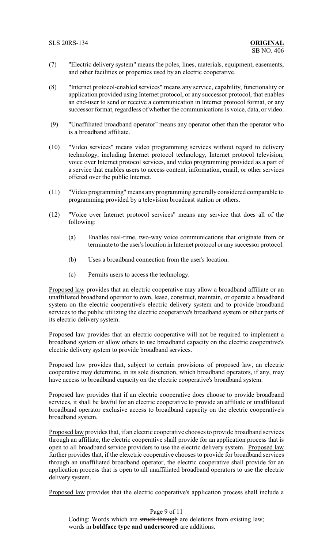- (7) "Electric delivery system" means the poles, lines, materials, equipment, easements, and other facilities or properties used by an electric cooperative.
- (8) "Internet protocol-enabled services" means any service, capability, functionality or application provided using Internet protocol, or any successor protocol, that enables an end-user to send or receive a communication in Internet protocol format, or any successor format, regardless of whether the communications is voice, data, or video.
- (9) "Unaffiliated broadband operator" means any operator other than the operator who is a broadband affiliate.
- (10) "Video services" means video programming services without regard to delivery technology, including Internet protocol technology, Internet protocol television, voice over Internet protocol services, and video programming provided as a part of a service that enables users to access content, information, email, or other services offered over the public Internet.
- (11) "Video programming" means any programming generally considered comparable to programming provided by a television broadcast station or others.
- (12) "Voice over Internet protocol services" means any service that does all of the following:
	- (a) Enables real-time, two-way voice communications that originate from or terminate to the user's location in Internet protocol or any successor protocol.
	- (b) Uses a broadband connection from the user's location.
	- (c) Permits users to access the technology.

Proposed law provides that an electric cooperative may allow a broadband affiliate or an unaffiliated broadband operator to own, lease, construct, maintain, or operate a broadband system on the electric cooperative's electric delivery system and to provide broadband services to the public utilizing the electric cooperative's broadband system or other parts of its electric delivery system.

Proposed law provides that an electric cooperative will not be required to implement a broadband system or allow others to use broadband capacity on the electric cooperative's electric delivery system to provide broadband services.

Proposed law provides that, subject to certain provisions of proposed law, an electric cooperative may determine, in its sole discretion, which broadband operators, if any, may have access to broadband capacity on the electric cooperative's broadband system.

Proposed law provides that if an electric cooperative does choose to provide broadband services, it shall be lawful for an electric cooperative to provide an affiliate or unaffiliated broadband operator exclusive access to broadband capacity on the electric cooperative's broadband system.

Proposed law provides that, if an electric cooperative chooses to provide broadband services through an affiliate, the electric cooperative shall provide for an application process that is open to all broadband service providers to use the electric delivery system. Proposed law further provides that, if the elexctric cooperative chooses to provide for broadband services through an unaffiliated broadband operator, the electric cooperative shall provide for an application process that is open to all unaffiliated broadband operators to use the electric delivery system.

Proposed law provides that the electric cooperative's application process shall include a

Page 9 of 11 Coding: Words which are struck through are deletions from existing law; words in **boldface type and underscored** are additions.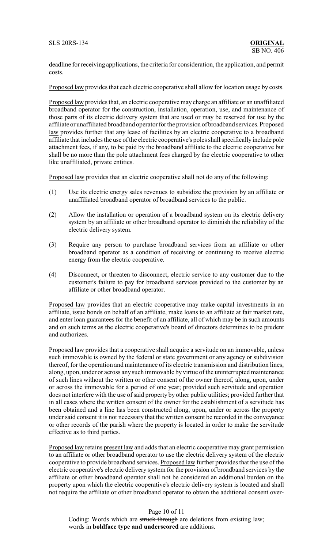deadline for receiving applications, the criteria for consideration, the application, and permit costs.

Proposed law provides that each electric cooperative shall allow for location usage by costs.

Proposed law provides that, an electric cooperative may charge an affiliate or an unaffiliated broadband operator for the construction, installation, operation, use, and maintenance of those parts of its electric delivery system that are used or may be reserved for use by the affiliate or unaffiliated broadband operator for the provision of broadband services. Proposed law provides further that any lease of facilities by an electric cooperative to a broadband affiliate that includes the use of the electric cooperative's poles shall specifically include pole attachment fees, if any, to be paid by the broadband affiliate to the electric cooperative but shall be no more than the pole attachment fees charged by the electric cooperative to other like unaffiliated, private entities.

Proposed law provides that an electric cooperative shall not do any of the following:

- (1) Use its electric energy sales revenues to subsidize the provision by an affiliate or unaffiliated broadband operator of broadband services to the public.
- (2) Allow the installation or operation of a broadband system on its electric delivery system by an affiliate or other broadband operator to diminish the reliability of the electric delivery system.
- (3) Require any person to purchase broadband services from an affiliate or other broadband operator as a condition of receiving or continuing to receive electric energy from the electric cooperative.
- (4) Disconnect, or threaten to disconnect, electric service to any customer due to the customer's failure to pay for broadband services provided to the customer by an affiliate or other broadband operator.

Proposed law provides that an electric cooperative may make capital investments in an affiliate, issue bonds on behalf of an affiliate, make loans to an affiliate at fair market rate, and enter loan guarantees for the benefit of an affiliate, all of which may be in such amounts and on such terms as the electric cooperative's board of directors determines to be prudent and authorizes.

Proposed law provides that a cooperative shall acquire a servitude on an immovable, unless such immovable is owned by the federal or state government or any agency or subdivision thereof, for the operation and maintenance of its electric transmission and distribution lines, along, upon, under or across any such immovable by virtue of the uninterrupted maintenance of such lines without the written or other consent of the owner thereof, along, upon, under or across the immovable for a period of one year; provided such servitude and operation does not interfere with the use of said property by other public utilities; provided further that in all cases where the written consent of the owner for the establishment of a servitude has been obtained and a line has been constructed along, upon, under or across the property under said consent it is not necessary that the written consent be recorded in the conveyance or other records of the parish where the property is located in order to make the servitude effective as to third parties.

Proposed law retains present law and adds that an electric cooperative may grant permission to an affiliate or other broadband operator to use the electric delivery system of the electric cooperative to provide broadband services. Proposed law further provides that the use of the electric cooperative's electric delivery system for the provision of broadband services by the affiliate or other broadband operator shall not be considered an additional burden on the property upon which the electric cooperative's electric delivery system is located and shall not require the affiliate or other broadband operator to obtain the additional consent over-

## Page 10 of 11

Coding: Words which are struck through are deletions from existing law; words in **boldface type and underscored** are additions.